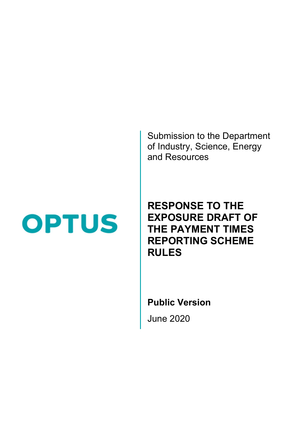Submission to the Department of Industry, Science, Energy and Resources

# **OPTUS**

## RESPONSE TO THE EXPOSURE DRAFT OF THE PAYMENT TIMES REPORTING SCHEME RULES

Public Version

June 2020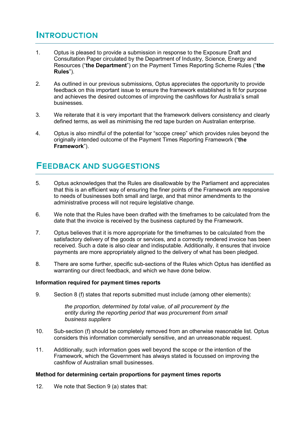## **INTRODUCTION**

- 1. Optus is pleased to provide a submission in response to the Exposure Draft and Consultation Paper circulated by the Department of Industry, Science, Energy and Resources ("the Department") on the Payment Times Reporting Scheme Rules ("the Rules").
- 2. As outlined in our previous submissions, Optus appreciates the opportunity to provide feedback on this important issue to ensure the framework established is fit for purpose and achieves the desired outcomes of improving the cashflows for Australia's small businesses.
- 3. We reiterate that it is very important that the framework delivers consistency and clearly defined terms, as well as minimising the red tape burden on Australian enterprise.
- 4. Optus is also mindful of the potential for "scope creep" which provides rules beyond the originally intended outcome of the Payment Times Reporting Framework ("the Framework").

### **FEEDBACK AND SUGGESTIONS**

- 5. Optus acknowledges that the Rules are disallowable by the Parliament and appreciates that this is an efficient way of ensuring the finer points of the Framework are responsive to needs of businesses both small and large, and that minor amendments to the administrative process will not require legislative change.
- 6. We note that the Rules have been drafted with the timeframes to be calculated from the date that the invoice is received by the business captured by the Framework.
- 7. Optus believes that it is more appropriate for the timeframes to be calculated from the satisfactory delivery of the goods or services, and a correctly rendered invoice has been received. Such a date is also clear and indisputable. Additionally, it ensures that invoice payments are more appropriately aligned to the delivery of what has been pledged.
- 8. There are some further, specific sub-sections of the Rules which Optus has identified as warranting our direct feedback, and which we have done below.

#### Information required for payment times reports

9. Section 8 (f) states that reports submitted must include (among other elements):

the proportion, determined by total value, of all procurement by the entity during the reporting period that was procurement from small business suppliers

- 10. Sub-section (f) should be completely removed from an otherwise reasonable list. Optus considers this information commercially sensitive, and an unreasonable request.
- 11. Additionally, such information goes well beyond the scope or the intention of the Framework, which the Government has always stated is focussed on improving the cashflow of Australian small businesses.

#### Method for determining certain proportions for payment times reports

12. We note that Section 9 (a) states that: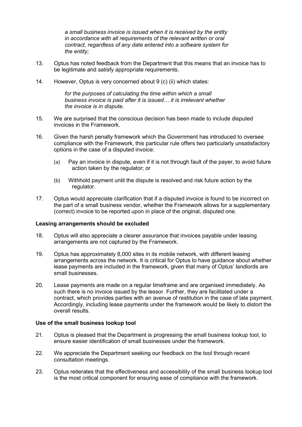a small business invoice is issued when it is received by the entity in accordance with all requirements of the relevant written or oral contract, regardless of any date entered into a software system for the entity;

- 13. Optus has noted feedback from the Department that this means that an invoice has to be legitimate and satisfy appropriate requirements.
- 14. However, Optus is very concerned about 9 (c) (ii) which states:

for the purposes of calculating the time within which a small business invoice is paid after it is issued… it is irrelevant whether the invoice is in dispute.

- 15. We are surprised that the conscious decision has been made to include disputed invoices in the Framework.
- 16. Given the harsh penalty framework which the Government has introduced to oversee compliance with the Framework, this particular rule offers two particularly unsatisfactory options in the case of a disputed invoice:
	- (a) Pay an invoice in dispute, even if it is not through fault of the payer, to avoid future action taken by the regulator; or
	- (b) Withhold payment until the dispute is resolved and risk future action by the regulator.
- 17. Optus would appreciate clarification that if a disputed invoice is found to be incorrect on the part of a small business vendor, whether the Framework allows for a supplementary (correct) invoice to be reported upon in place of the original, disputed one.

#### Leasing arrangements should be excluded

- 18. Optus will also appreciate a clearer assurance that invoices payable under leasing arrangements are not captured by the Framework.
- 19. Optus has approximately 8,000 sites in its mobile network, with different leasing arrangements across the network. It is critical for Optus to have guidance about whether lease payments are included in the framework, given that many of Optus' landlords are small businesses.
- 20. Lease payments are made on a regular timeframe and are organised immediately. As such there is no invoice issued by the lessor. Further, they are facilitated under a contract, which provides parties with an avenue of restitution in the case of late payment. Accordingly, including lease payments under the framework would be likely to distort the overall results.

#### Use of the small business lookup tool

- 21. Optus is pleased that the Department is progressing the small business lookup tool, to ensure easier identification of small businesses under the framework.
- 22. We appreciate the Department seeking our feedback on the tool through recent consultation meetings.
- 23. Optus reiterates that the effectiveness and accessibility of the small business lookup tool is the most critical component for ensuring ease of compliance with the framework.